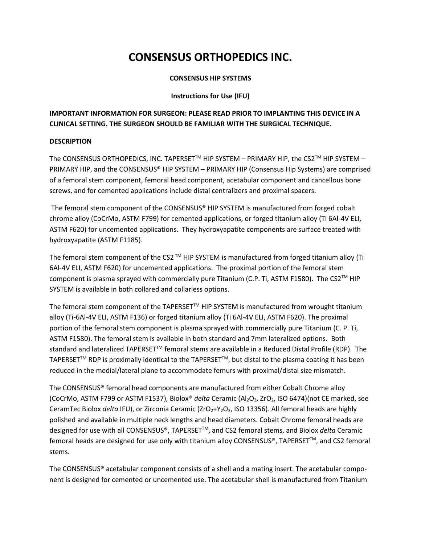# **CONSENSUS ORTHOPEDICS INC.**

#### **CONSENSUS HIP SYSTEMS**

#### **Instructions for Use (IFU)**

# **IMPORTANT INFORMATION FOR SURGEON: PLEASE READ PRIOR TO IMPLANTING THIS DEVICE IN A CLINICAL SETTING. THE SURGEON SHOULD BE FAMILIAR WITH THE SURGICAL TECHNIQUE.**

# **DESCRIPTION**

The CONSENSUS ORTHOPEDICS, INC. TAPERSET™ HIP SYSTEM - PRIMARY HIP, the CS2™ HIP SYSTEM -PRIMARY HIP, and the CONSENSUS® HIP SYSTEM – PRIMARY HIP (Consensus Hip Systems) are comprised of a femoral stem component, femoral head component, acetabular component and cancellous bone screws, and for cemented applications include distal centralizers and proximal spacers.

The femoral stem component of the CONSENSUS® HIP SYSTEM is manufactured from forged cobalt chrome alloy (CoCrMo, ASTM F799) for cemented applications, or forged titanium alloy (Ti 6Al-4V ELI, ASTM F620) for uncemented applications. They hydroxyapatite components are surface treated with hydroxyapatite (ASTM F1185).

The femoral stem component of the CS2<sup>™</sup> HIP SYSTEM is manufactured from forged titanium alloy (Ti 6Al-4V ELI, ASTM F620) for uncemented applications. The proximal portion of the femoral stem component is plasma sprayed with commercially pure Titanium (C.P. Ti, ASTM F1580). The CS2™ HIP SYSTEM is available in both collared and collarless options.

The femoral stem component of the TAPERSET™ HIP SYSTEM is manufactured from wrought titanium alloy (Ti-6Al-4V ELI, ASTM F136) or forged titanium alloy (Ti 6Al-4V ELI, ASTM F620). The proximal portion of the femoral stem component is plasma sprayed with commercially pure Titanium (C. P. Ti, ASTM F1580). The femoral stem is available in both standard and 7mm lateralized options. Both standard and lateralized TAPERSET™ femoral stems are available in a Reduced Distal Profile (RDP). The TAPERSET<sup>™</sup> RDP is proximally identical to the TAPERSET<sup>™</sup>, but distal to the plasma coating it has been reduced in the medial/lateral plane to accommodate femurs with proximal/distal size mismatch.

The CONSENSUS® femoral head components are manufactured from either Cobalt Chrome alloy (CoCrMo, ASTM F799 or ASTM F1537), Biolox® *delta* Ceramic (Al2O3, ZrO2, ISO 6474)(not CE marked, see CeramTec Biolox *delta* IFU), or Zirconia Ceramic (ZrO2+Y2O3, ISO 13356). All femoral heads are highly polished and available in multiple neck lengths and head diameters. Cobalt Chrome femoral heads are designed for use with all CONSENSUS®, TAPERSETTM, and CS2 femoral stems, and Biolox *delta* Ceramic femoral heads are designed for use only with titanium alloy CONSENSUS®, TAPERSET™, and CS2 femoral stems.

The CONSENSUS® acetabular component consists of a shell and a mating insert. The acetabular component is designed for cemented or uncemented use. The acetabular shell is manufactured from Titanium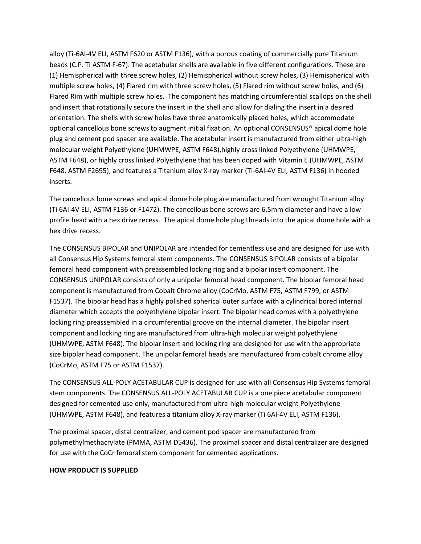alloy (Ti-6Al-4V ELI, ASTM F620 or ASTM F136), with a porous coating of commercially pure Titanium beads (C.P. Ti ASTM F-67). The acetabular shells are available in five different configurations. These are (1) Hemispherical with three screw holes, (2) Hemispherical without screw holes, (3) Hemispherical with multiple screw holes, (4) Flared rim with three screw holes, (5) Flared rim without screw holes, and (6) Flared Rim with multiple screw holes. The component has matching circumferential scallops on the shell and insert that rotationally secure the insert in the shell and allow for dialing the insert in a desired orientation. The shells with screw holes have three anatomically placed holes, which accommodate optional cancellous bone screws to augment initial fixation. An optional CONSENSUS® apical dome hole plug and cement pod spacer are available. The acetabular insert is manufactured from either ultra-high molecular weight Polyethylene (UHMWPE, ASTM F648),highly cross linked Polyethylene (UHMWPE, ASTM F648), or highly cross linked Polyethylene that has been doped with Vitamin E (UHMWPE, ASTM F648, ASTM F2695), and features a Titanium alloy X-ray marker (Ti-6Al-4V ELI, ASTM F136) in hooded inserts.

The cancellous bone screws and apical dome hole plug are manufactured from wrought Titanium alloy (Ti 6Al-4V ELI, ASTM F136 or F1472). The cancellous bone screws are 6.5mm diameter and have a low profile head with a hex drive recess. The apical dome hole plug threads into the apical dome hole with a hex drive recess.

The CONSENSUS BIPOLAR and UNIPOLAR are intended for cementless use and are designed for use with all Consensus Hip Systems femoral stem components. The CONSENSUS BIPOLAR consists of a bipolar femoral head component with preassembled locking ring and a bipolar insert component. The CONSENSUS UNIPOLAR consists of only a unipolar femoral head component. The bipolar femoral head component is manufactured from Cobalt Chrome alloy (CoCrMo, ASTM F75, ASTM F799, or ASTM F1537). The bipolar head has a highly polished spherical outer surface with a cylindrical bored internal diameter which accepts the polyethylene bipolar insert. The bipolar head comes with a polyethylene locking ring preassembled in a circumferential groove on the internal diameter. The bipolar insert component and locking ring are manufactured from ultra-high molecular weight polyethylene (UHMWPE, ASTM F648). The bipolar insert and locking ring are designed for use with the appropriate size bipolar head component. The unipolar femoral heads are manufactured from cobalt chrome alloy (CoCrMo, ASTM F75 or ASTM F1537).

The CONSENSUS ALL-POLY ACETABULAR CUP is designed for use with all Consensus Hip Systems femoral stem components. The CONSENSUS ALL-POLY ACETABULAR CUP is a one piece acetabular component designed for cemented use only, manufactured from ultra-high molecular weight Polyethylene (UHMWPE, ASTM F648), and features a titanium alloy X-ray marker (Ti 6Al-4V ELI, ASTM F136).

The proximal spacer, distal centralizer, and cement pod spacer are manufactured from polymethylmethacrylate (PMMA, ASTM D5436). The proximal spacer and distal centralizer are designed for use with the CoCr femoral stem component for cemented applications.

#### **HOW PRODUCT IS SUPPLIED**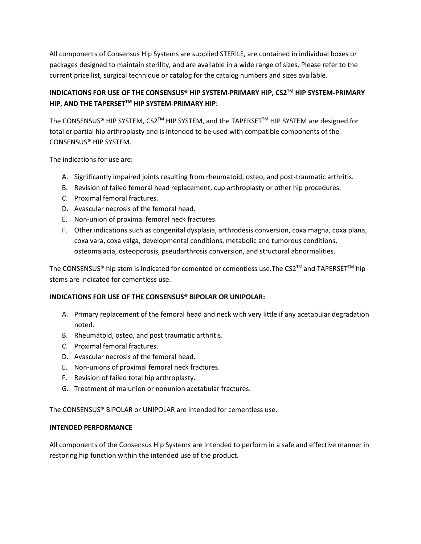All components of Consensus Hip Systems are supplied STERILE, are contained in individual boxes or packages designed to maintain sterility, and are available in a wide range of sizes. Please refer to the current price list, surgical technique or catalog for the catalog numbers and sizes available.

# **INDICATIONS FOR USE OF THE CONSENSUS® HIP SYSTEM-PRIMARY HIP, CS2TM HIP SYSTEM-PRIMARY HIP, AND THE TAPERSETTM HIP SYSTEM-PRIMARY HIP:**

The CONSENSUS® HIP SYSTEM, CS2<sup>™</sup> HIP SYSTEM, and the TAPERSET<sup>™</sup> HIP SYSTEM are designed for total or partial hip arthroplasty and is intended to be used with compatible components of the CONSENSUS® HIP SYSTEM.

The indications for use are:

- A. Significantly impaired joints resulting from rheumatoid, osteo, and post-traumatic arthritis.
- B. Revision of failed femoral head replacement, cup arthroplasty or other hip procedures.
- C. Proximal femoral fractures.
- D. Avascular necrosis of the femoral head.
- E. Non-union of proximal femoral neck fractures.
- F. Other indications such as congenital dysplasia, arthrodesis conversion, coxa magna, coxa plana, coxa vara, coxa valga, developmental conditions, metabolic and tumorous conditions, osteomalacia, osteoporosis, pseudarthrosis conversion, and structural abnormalities.

The CONSENSUS® hip stem is indicated for cemented or cementless use. The CS2™ and TAPERSET™ hip stems are indicated for cementless use.

#### **INDICATIONS FOR USE OF THE CONSENSUS® BIPOLAR OR UNIPOLAR:**

- A. Primary replacement of the femoral head and neck with very little if any acetabular degradation noted.
- B. Rheumatoid, osteo, and post traumatic arthritis.
- C. Proximal femoral fractures.
- D. Avascular necrosis of the femoral head.
- E. Non-unions of proximal femoral neck fractures.
- F. Revision of failed total hip arthroplasty.
- G. Treatment of malunion or nonunion acetabular fractures.

The CONSENSUS® BIPOLAR or UNIPOLAR are intended for cementless use.

# **INTENDED PERFORMANCE**

All components of the Consensus Hip Systems are intended to perform in a safe and effective manner in restoring hip function within the intended use of the product.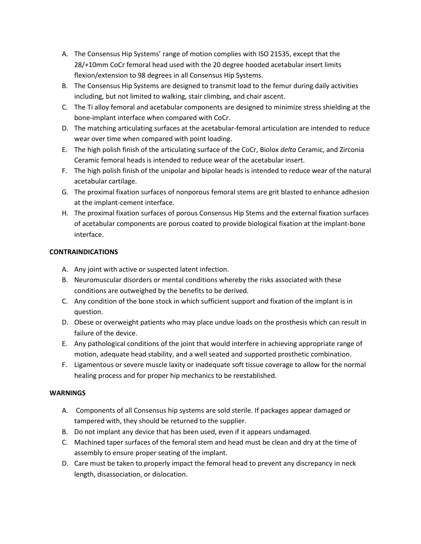- A. The Consensus Hip Systems' range of motion complies with ISO 21535, except that the 28/+10mm CoCr femoral head used with the 20 degree hooded acetabular insert limits flexion/extension to 98 degrees in all Consensus Hip Systems.
- B. The Consensus Hip Systems are designed to transmit load to the femur during daily activities including, but not limited to walking, stair climbing, and chair ascent.
- C. The Ti alloy femoral and acetabular components are designed to minimize stress shielding at the bone-implant interface when compared with CoCr.
- D. The matching articulating surfaces at the acetabular-femoral articulation are intended to reduce wear over time when compared with point loading.
- E. The high polish finish of the articulating surface of the CoCr, Biolox *delta* Ceramic, and Zirconia Ceramic femoral heads is intended to reduce wear of the acetabular insert.
- F. The high polish finish of the unipolar and bipolar heads is intended to reduce wear of the natural acetabular cartilage.
- G. The proximal fixation surfaces of nonporous femoral stems are grit blasted to enhance adhesion at the implant-cement interface.
- H. The proximal fixation surfaces of porous Consensus Hip Stems and the external fixation surfaces of acetabular components are porous coated to provide biological fixation at the implant-bone interface.

# **CONTRAINDICATIONS**

- A. Any joint with active or suspected latent infection.
- B. Neuromuscular disorders or mental conditions whereby the risks associated with these conditions are outweighed by the benefits to be derived.
- C. Any condition of the bone stock in which sufficient support and fixation of the implant is in question.
- D. Obese or overweight patients who may place undue loads on the prosthesis which can result in failure of the device.
- E. Any pathological conditions of the joint that would interfere in achieving appropriate range of motion, adequate head stability, and a well seated and supported prosthetic combination.
- F. Ligamentous or severe muscle laxity or inadequate soft tissue coverage to allow for the normal healing process and for proper hip mechanics to be reestablished.

# **WARNINGS**

- A. Components of all Consensus hip systems are sold sterile. If packages appear damaged or tampered with, they should be returned to the supplier.
- B. Do not implant any device that has been used, even if it appears undamaged.
- C. Machined taper surfaces of the femoral stem and head must be clean and dry at the time of assembly to ensure proper seating of the implant.
- D. Care must be taken to properly impact the femoral head to prevent any discrepancy in neck length, disassociation, or dislocation.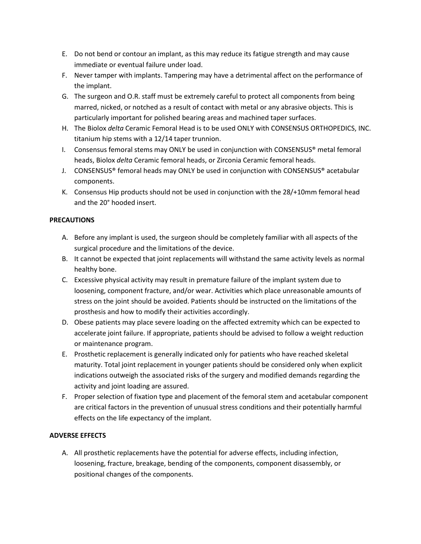- E. Do not bend or contour an implant, as this may reduce its fatigue strength and may cause immediate or eventual failure under load.
- F. Never tamper with implants. Tampering may have a detrimental affect on the performance of the implant.
- G. The surgeon and O.R. staff must be extremely careful to protect all components from being marred, nicked, or notched as a result of contact with metal or any abrasive objects. This is particularly important for polished bearing areas and machined taper surfaces.
- H. The Biolox *delta* Ceramic Femoral Head is to be used ONLY with CONSENSUS ORTHOPEDICS, INC. titanium hip stems with a 12/14 taper trunnion.
- I. Consensus femoral stems may ONLY be used in conjunction with CONSENSUS® metal femoral heads, Biolox *delta* Ceramic femoral heads, or Zirconia Ceramic femoral heads.
- J. CONSENSUS® femoral heads may ONLY be used in conjunction with CONSENSUS® acetabular components.
- K. Consensus Hip products should not be used in conjunction with the 28/+10mm femoral head and the 20° hooded insert.

# **PRECAUTIONS**

- A. Before any implant is used, the surgeon should be completely familiar with all aspects of the surgical procedure and the limitations of the device.
- B. It cannot be expected that joint replacements will withstand the same activity levels as normal healthy bone.
- C. Excessive physical activity may result in premature failure of the implant system due to loosening, component fracture, and/or wear. Activities which place unreasonable amounts of stress on the joint should be avoided. Patients should be instructed on the limitations of the prosthesis and how to modify their activities accordingly.
- D. Obese patients may place severe loading on the affected extremity which can be expected to accelerate joint failure. If appropriate, patients should be advised to follow a weight reduction or maintenance program.
- E. Prosthetic replacement is generally indicated only for patients who have reached skeletal maturity. Total joint replacement in younger patients should be considered only when explicit indications outweigh the associated risks of the surgery and modified demands regarding the activity and joint loading are assured.
- F. Proper selection of fixation type and placement of the femoral stem and acetabular component are critical factors in the prevention of unusual stress conditions and their potentially harmful effects on the life expectancy of the implant.

# **ADVERSE EFFECTS**

A. All prosthetic replacements have the potential for adverse effects, including infection, loosening, fracture, breakage, bending of the components, component disassembly, or positional changes of the components.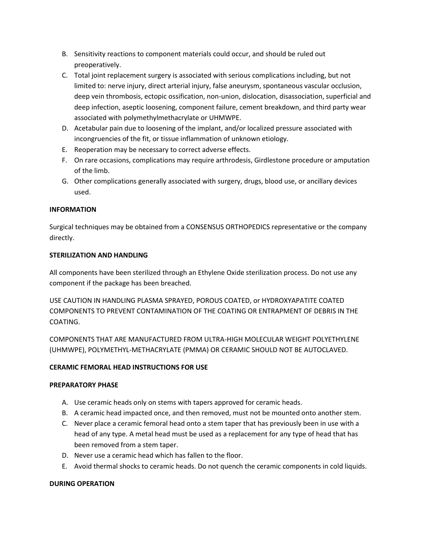- B. Sensitivity reactions to component materials could occur, and should be ruled out preoperatively.
- C. Total joint replacement surgery is associated with serious complications including, but not limited to: nerve injury, direct arterial injury, false aneurysm, spontaneous vascular occlusion, deep vein thrombosis, ectopic ossification, non-union, dislocation, disassociation, superficial and deep infection, aseptic loosening, component failure, cement breakdown, and third party wear associated with polymethylmethacrylate or UHMWPE.
- D. Acetabular pain due to loosening of the implant, and/or localized pressure associated with incongruencies of the fit, or tissue inflammation of unknown etiology.
- E. Reoperation may be necessary to correct adverse effects.
- F. On rare occasions, complications may require arthrodesis, Girdlestone procedure or amputation of the limb.
- G. Other complications generally associated with surgery, drugs, blood use, or ancillary devices used.

# **INFORMATION**

Surgical techniques may be obtained from a CONSENSUS ORTHOPEDICS representative or the company directly.

# **STERILIZATION AND HANDLING**

All components have been sterilized through an Ethylene Oxide sterilization process. Do not use any component if the package has been breached.

USE CAUTION IN HANDLING PLASMA SPRAYED, POROUS COATED, or HYDROXYAPATITE COATED COMPONENTS TO PREVENT CONTAMINATION OF THE COATING OR ENTRAPMENT OF DEBRIS IN THE COATING.

COMPONENTS THAT ARE MANUFACTURED FROM ULTRA-HIGH MOLECULAR WEIGHT POLYETHYLENE (UHMWPE), POLYMETHYL-METHACRYLATE (PMMA) OR CERAMIC SHOULD NOT BE AUTOCLAVED.

# **CERAMIC FEMORAL HEAD INSTRUCTIONS FOR USE**

#### **PREPARATORY PHASE**

- A. Use ceramic heads only on stems with tapers approved for ceramic heads.
- B. A ceramic head impacted once, and then removed, must not be mounted onto another stem.
- C. Never place a ceramic femoral head onto a stem taper that has previously been in use with a head of any type. A metal head must be used as a replacement for any type of head that has been removed from a stem taper.
- D. Never use a ceramic head which has fallen to the floor.
- E. Avoid thermal shocks to ceramic heads. Do not quench the ceramic components in cold liquids.

#### **DURING OPERATION**